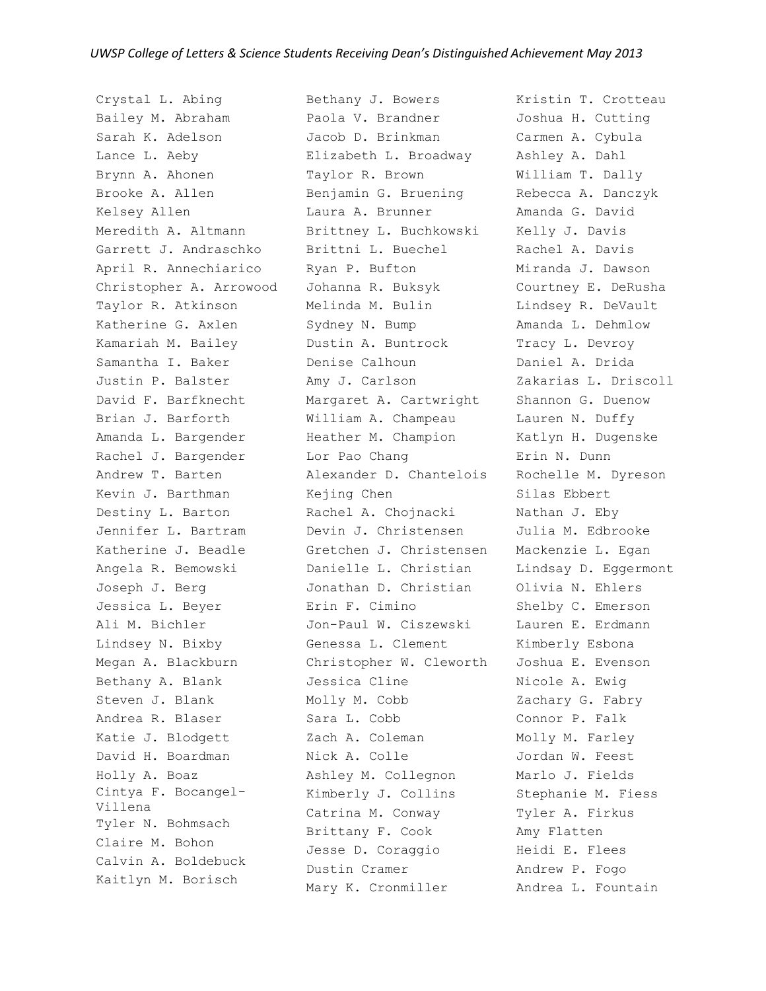Crystal L. Abing Bailey M. Abraham Sarah K. Adelson Lance L. Aeby Brynn A. Ahonen Brooke A. Allen Kelsey Allen Meredith A. Altmann Garrett J. Andraschko April R. Annechiarico Christopher A. Arrowood Taylor R. Atkinson Katherine G. Axlen Kamariah M. Bailey Samantha I. Baker Justin P. Balster David F. Barfknecht Brian J. Barforth Amanda L. Bargender Rachel J. Bargender Andrew T. Barten Kevin J. Barthman Destiny L. Barton Jennifer L. Bartram Katherine J. Beadle Angela R. Bemowski Joseph J. Berg Jessica L. Beyer Ali M. Bichler Lindsey N. Bixby Megan A. Blackburn Bethany A. Blank Steven J. Blank Andrea R. Blaser Katie J. Blodgett David H. Boardman Holly A. Boaz Cintya F. Bocangel-Villena Tyler N. Bohmsach Claire M. Bohon Calvin A. Boldebuck Kaitlyn M. Borisch

Bethany J. Bowers Paola V. Brandner Jacob D. Brinkman Elizabeth L. Broadway Taylor R. Brown Benjamin G. Bruening Laura A. Brunner Brittney L. Buchkowski Brittni L. Buechel Ryan P. Bufton Johanna R. Buksyk Melinda M. Bulin Sydney N. Bump Dustin A. Buntrock Denise Calhoun Amy J. Carlson Margaret A. Cartwright William A. Champeau Heather M. Champion Lor Pao Chang Alexander D. Chantelois Kejing Chen Rachel A. Chojnacki Devin J. Christensen Gretchen J. Christensen Danielle L. Christian Jonathan D. Christian Erin F. Cimino Jon-Paul W. Ciszewski Genessa L. Clement Christopher W. Cleworth Jessica Cline Molly M. Cobb Sara L. Cobb Zach A. Coleman Nick A. Colle Ashley M. Collegnon Kimberly J. Collins Catrina M. Conway Brittany F. Cook Jesse D. Coraggio Dustin Cramer Mary K. Cronmiller

Kristin T. Crotteau Joshua H. Cutting Carmen A. Cybula Ashley A. Dahl William T. Dally Rebecca A. Danczyk Amanda G. David Kelly J. Davis Rachel A. Davis Miranda J. Dawson Courtney E. DeRusha Lindsey R. DeVault Amanda L. Dehmlow Tracy L. Devroy Daniel A. Drida Zakarias L. Driscoll Shannon G. Duenow Lauren N. Duffy Katlyn H. Dugenske Erin N. Dunn Rochelle M. Dyreson Silas Ebbert Nathan J. Eby Julia M. Edbrooke Mackenzie L. Egan Lindsay D. Eggermont Olivia N. Ehlers Shelby C. Emerson Lauren E. Erdmann Kimberly Esbona Joshua E. Evenson Nicole A. Ewig Zachary G. Fabry Connor P. Falk Molly M. Farley Jordan W. Feest Marlo J. Fields Stephanie M. Fiess Tyler A. Firkus Amy Flatten Heidi E. Flees Andrew P. Fogo Andrea L. Fountain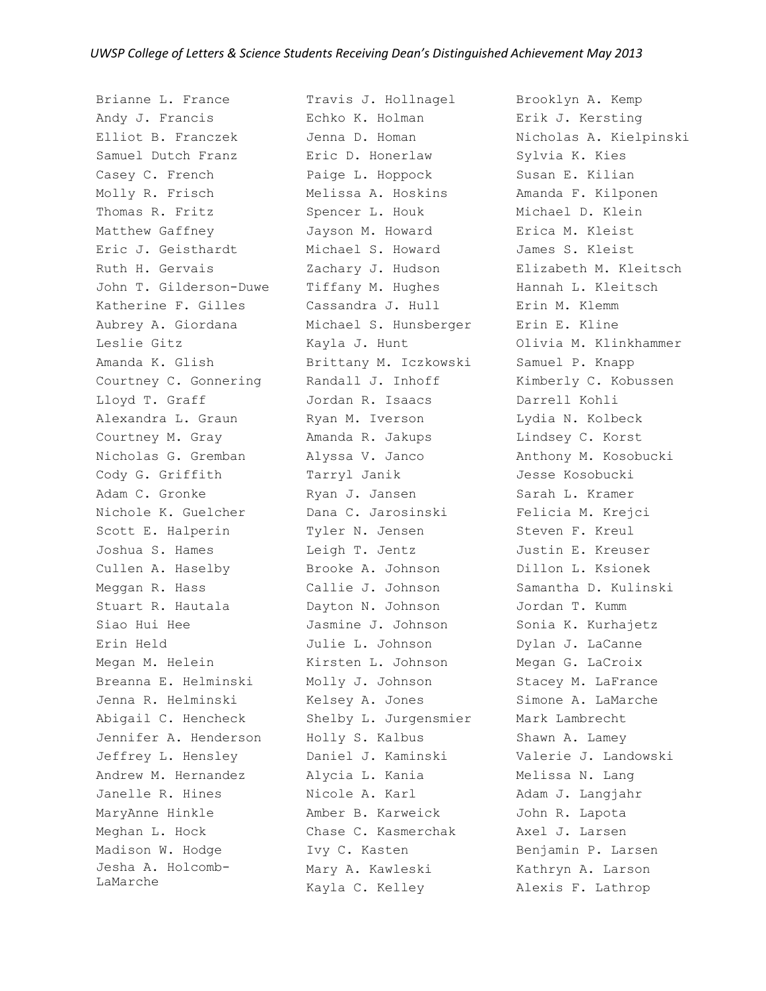Brianne L. France Andy J. Francis Elliot B. Franczek Samuel Dutch Franz Casey C. French Molly R. Frisch Thomas R. Fritz Matthew Gaffney Eric J. Geisthardt Ruth H. Gervais John T. Gilderson-Duwe Katherine F. Gilles Aubrey A. Giordana Leslie Gitz Amanda K. Glish Courtney C. Gonnering Lloyd T. Graff Alexandra L. Graun Courtney M. Gray Nicholas G. Gremban Cody G. Griffith Adam C. Gronke Nichole K. Guelcher Scott E. Halperin Joshua S. Hames Cullen A. Haselby Meggan R. Hass Stuart R. Hautala Siao Hui Hee Erin Held Megan M. Helein Breanna E. Helminski Jenna R. Helminski Abigail C. Hencheck Jennifer A. Henderson Jeffrey L. Hensley Andrew M. Hernandez Janelle R. Hines MaryAnne Hinkle Meghan L. Hock Madison W. Hodge Jesha A. Holcomb-LaMarche

Travis J. Hollnagel Echko K. Holman Jenna D. Homan Eric D. Honerlaw Paige L. Hoppock Melissa A. Hoskins Spencer L. Houk Jayson M. Howard Michael S. Howard Zachary J. Hudson Tiffany M. Hughes Cassandra J. Hull Michael S. Hunsberger Kayla J. Hunt Brittany M. Iczkowski Randall J. Inhoff Jordan R. Isaacs Ryan M. Iverson Amanda R. Jakups Alyssa V. Janco Tarryl Janik Ryan J. Jansen Dana C. Jarosinski Tyler N. Jensen Leigh T. Jentz Brooke A. Johnson Callie J. Johnson Dayton N. Johnson Jasmine J. Johnson Julie L. Johnson Kirsten L. Johnson Molly J. Johnson Kelsey A. Jones Shelby L. Jurgensmier Holly S. Kalbus Daniel J. Kaminski Alycia L. Kania Nicole A. Karl Amber B. Karweick Chase C. Kasmerchak Ivy C. Kasten Mary A. Kawleski Kayla C. Kelley

Brooklyn A. Kemp Erik J. Kersting Nicholas A. Kielpinski Sylvia K. Kies Susan E. Kilian Amanda F. Kilponen Michael D. Klein Erica M. Kleist James S. Kleist Elizabeth M. Kleitsch Hannah L. Kleitsch Erin M. Klemm Erin E. Kline Olivia M. Klinkhammer Samuel P. Knapp Kimberly C. Kobussen Darrell Kohli Lydia N. Kolbeck Lindsey C. Korst Anthony M. Kosobucki Jesse Kosobucki Sarah L. Kramer Felicia M. Krejci Steven F. Kreul Justin E. Kreuser Dillon L. Ksionek Samantha D. Kulinski Jordan T. Kumm Sonia K. Kurhajetz Dylan J. LaCanne Megan G. LaCroix Stacey M. LaFrance Simone A. LaMarche Mark Lambrecht Shawn A. Lamey Valerie J. Landowski Melissa N. Lang Adam J. Langjahr John R. Lapota Axel J. Larsen Benjamin P. Larsen Kathryn A. Larson Alexis F. Lathrop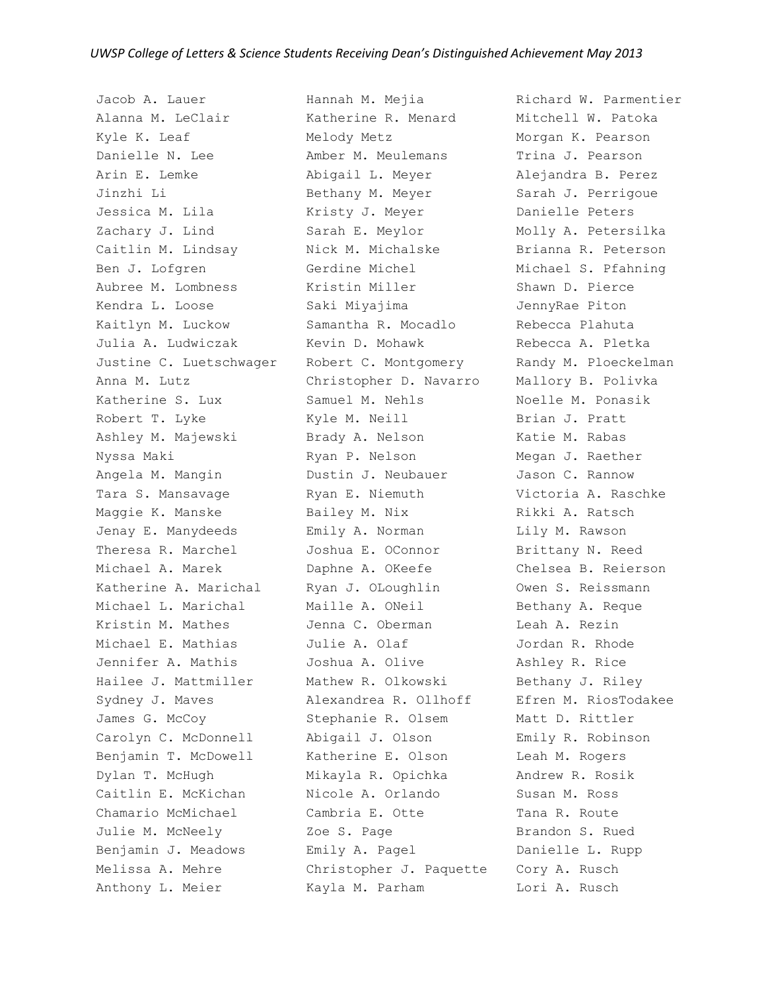Jacob A. Lauer Alanna M. LeClair Kyle K. Leaf Danielle N. Lee Arin E. Lemke Jinzhi Li Jessica M. Lila Zachary J. Lind Caitlin M. Lindsay Ben J. Lofgren Aubree M. Lombness Kendra L. Loose Kaitlyn M. Luckow Julia A. Ludwiczak Justine C. Luetschwager Anna M. Lutz Katherine S. Lux Robert T. Lyke Ashley M. Majewski Nyssa Maki Angela M. Mangin Tara S. Mansavage Maggie K. Manske Jenay E. Manydeeds Theresa R. Marchel Michael A. Marek Katherine A. Marichal Michael L. Marichal Kristin M. Mathes Michael E. Mathias Jennifer A. Mathis Hailee J. Mattmiller Sydney J. Maves James G. McCoy Carolyn C. McDonnell Benjamin T. McDowell Dylan T. McHugh Caitlin E. McKichan Chamario McMichael Julie M. McNeely Benjamin J. Meadows Melissa A. Mehre Anthony L. Meier

Hannah M. Mejia Katherine R. Menard Melody Metz Amber M. Meulemans Abigail L. Meyer Bethany M. Meyer Kristy J. Meyer Sarah E. Meylor Nick M. Michalske Gerdine Michel Kristin Miller Saki Miyajima Samantha R. Mocadlo Kevin D. Mohawk Robert C. Montgomery Christopher D. Navarro Samuel M. Nehls Kyle M. Neill Brady A. Nelson Ryan P. Nelson Dustin J. Neubauer Ryan E. Niemuth Bailey M. Nix Emily A. Norman Joshua E. OConnor Daphne A. OKeefe Ryan J. OLoughlin Maille A. ONeil Jenna C. Oberman Julie A. Olaf Joshua A. Olive Mathew R. Olkowski Alexandrea R. Ollhoff Stephanie R. Olsem Abigail J. Olson Katherine E. Olson Mikayla R. Opichka Nicole A. Orlando Cambria E. Otte Zoe S. Page Emily A. Pagel Christopher J. Paquette Cory A. Rusch Kayla M. Parham

Richard W. Parmentier Mitchell W. Patoka Morgan K. Pearson Trina J. Pearson Alejandra B. Perez Sarah J. Perrigoue Danielle Peters Molly A. Petersilka Brianna R. Peterson Michael S. Pfahning Shawn D. Pierce JennyRae Piton Rebecca Plahuta Rebecca A. Pletka Randy M. Ploeckelman Mallory B. Polivka Noelle M. Ponasik Brian J. Pratt Katie M. Rabas Megan J. Raether Jason C. Rannow Victoria A. Raschke Rikki A. Ratsch Lily M. Rawson Brittany N. Reed Chelsea B. Reierson Owen S. Reissmann Bethany A. Reque Leah A. Rezin Jordan R. Rhode Ashley R. Rice Bethany J. Riley Efren M. RiosTodakee Matt D. Rittler Emily R. Robinson Leah M. Rogers Andrew R. Rosik Susan M. Ross Tana R. Route Brandon S. Rued Danielle L. Rupp Lori A. Rusch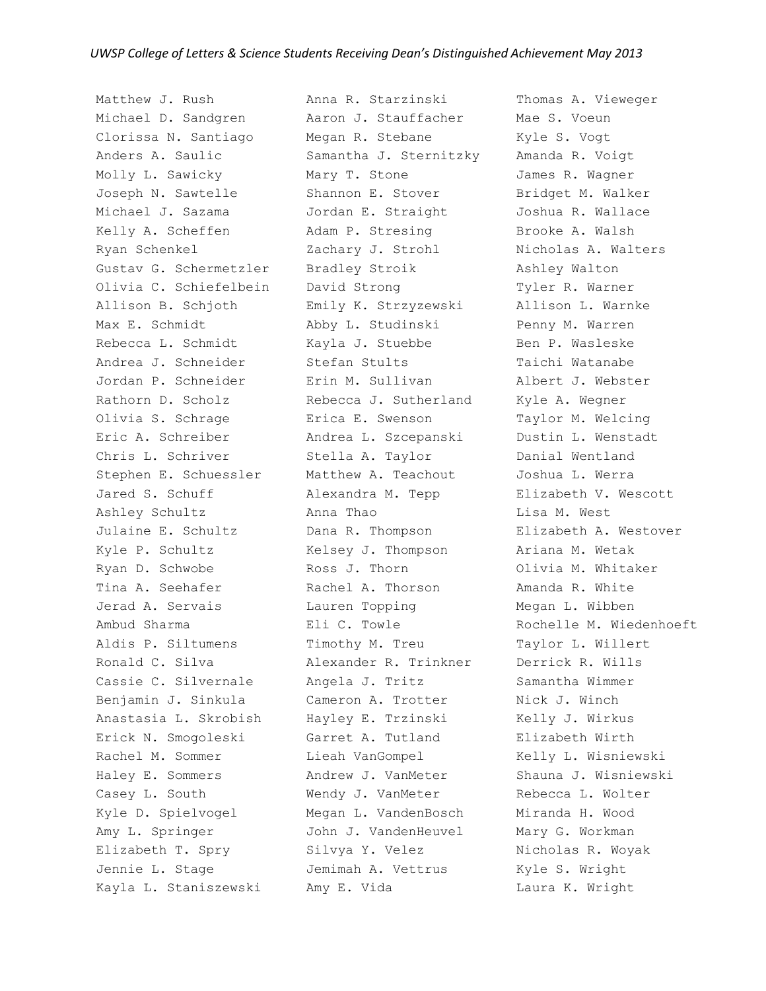Matthew J. Rush Michael D. Sandgren Clorissa N. Santiago Anders A. Saulic Molly L. Sawicky Joseph N. Sawtelle Michael J. Sazama Kelly A. Scheffen Ryan Schenkel Gustav G. Schermetzler Olivia C. Schiefelbein Allison B. Schjoth Max E. Schmidt Rebecca L. Schmidt Andrea J. Schneider Jordan P. Schneider Rathorn D. Scholz Olivia S. Schrage Eric A. Schreiber Chris L. Schriver Stephen E. Schuessler Jared S. Schuff Ashley Schultz Julaine E. Schultz Kyle P. Schultz Ryan D. Schwobe Tina A. Seehafer Jerad A. Servais Ambud Sharma Aldis P. Siltumens Ronald C. Silva Cassie C. Silvernale Benjamin J. Sinkula Anastasia L. Skrobish Erick N. Smogoleski Rachel M. Sommer Haley E. Sommers Casey L. South Kyle D. Spielvogel Amy L. Springer Elizabeth T. Spry Jennie L. Stage Kayla L. Staniszewski

Anna R. Starzinski Aaron J. Stauffacher Megan R. Stebane Samantha J. Sternitzky Mary T. Stone Shannon E. Stover Jordan E. Straight Adam P. Stresing Zachary J. Strohl Bradley Stroik David Strong Emily K. Strzyzewski Abby L. Studinski Kayla J. Stuebbe Stefan Stults Erin M. Sullivan Rebecca J. Sutherland Erica E. Swenson Andrea L. Szcepanski Stella A. Taylor Matthew A. Teachout Alexandra M. Tepp Anna Thao Dana R. Thompson Kelsey J. Thompson Ross J. Thorn Rachel A. Thorson Lauren Topping Eli C. Towle Timothy M. Treu Alexander R. Trinkner Angela J. Tritz Cameron A. Trotter Hayley E. Trzinski Garret A. Tutland Lieah VanGompel Andrew J. VanMeter Wendy J. VanMeter Megan L. VandenBosch John J. VandenHeuvel Silvya Y. Velez Jemimah A. Vettrus Amy E. Vida

Thomas A. Vieweger Mae S. Voeun Kyle S. Vogt Amanda R. Voigt James R. Wagner Bridget M. Walker Joshua R. Wallace Brooke A. Walsh Nicholas A. Walters Ashley Walton Tyler R. Warner Allison L. Warnke Penny M. Warren Ben P. Wasleske Taichi Watanabe Albert J. Webster Kyle A. Wegner Taylor M. Welcing Dustin L. Wenstadt Danial Wentland Joshua L. Werra Elizabeth V. Wescott Lisa M. West Elizabeth A. Westover Ariana M. Wetak Olivia M. Whitaker Amanda R. White Megan L. Wibben Rochelle M. Wiedenhoeft Taylor L. Willert Derrick R. Wills Samantha Wimmer Nick J. Winch Kelly J. Wirkus Elizabeth Wirth Kelly L. Wisniewski Shauna J. Wisniewski Rebecca L. Wolter Miranda H. Wood Mary G. Workman Nicholas R. Woyak Kyle S. Wright Laura K. Wright